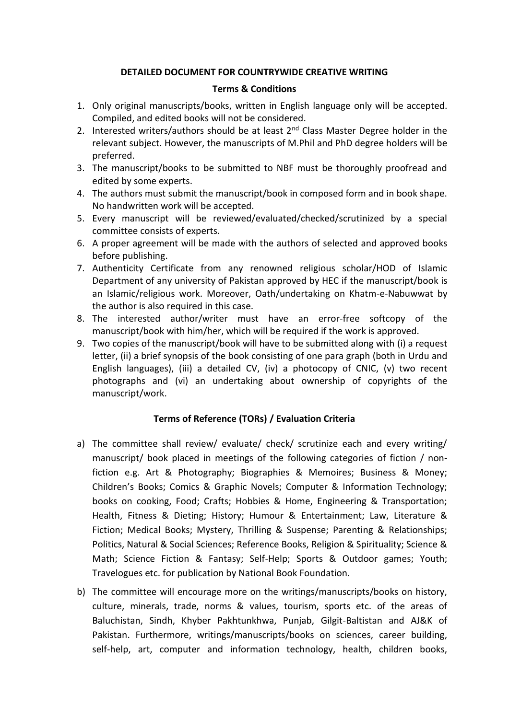#### **DETAILED DOCUMENT FOR COUNTRYWIDE CREATIVE WRITING**

#### **Terms & Conditions**

- 1. Only original manuscripts/books, written in English language only will be accepted. Compiled, and edited books will not be considered.
- 2. Interested writers/authors should be at least  $2^{nd}$  Class Master Degree holder in the relevant subject. However, the manuscripts of M.Phil and PhD degree holders will be preferred.
- 3. The manuscript/books to be submitted to NBF must be thoroughly proofread and edited by some experts.
- 4. The authors must submit the manuscript/book in composed form and in book shape. No handwritten work will be accepted.
- 5. Every manuscript will be reviewed/evaluated/checked/scrutinized by a special committee consists of experts.
- 6. A proper agreement will be made with the authors of selected and approved books before publishing.
- 7. Authenticity Certificate from any renowned religious scholar/HOD of Islamic Department of any university of Pakistan approved by HEC if the manuscript/book is an Islamic/religious work. Moreover, Oath/undertaking on Khatm-e-Nabuwwat by the author is also required in this case.
- 8. The interested author/writer must have an error-free softcopy of the manuscript/book with him/her, which will be required if the work is approved.
- 9. Two copies of the manuscript/book will have to be submitted along with (i) a request letter, (ii) a brief synopsis of the book consisting of one para graph (both in Urdu and English languages), (iii) a detailed CV, (iv) a photocopy of CNIC, (v) two recent photographs and (vi) an undertaking about ownership of copyrights of the manuscript/work.

### **Terms of Reference (TORs) / Evaluation Criteria**

- a) The committee shall review/ evaluate/ check/ scrutinize each and every writing/ manuscript/ book placed in meetings of the following categories of fiction / nonfiction e.g. Art & Photography; Biographies & Memoires; Business & Money; Children's Books; Comics & Graphic Novels; Computer & Information Technology; books on cooking, Food; Crafts; Hobbies & Home, Engineering & Transportation; Health, Fitness & Dieting; History; Humour & Entertainment; Law, Literature & Fiction; Medical Books; Mystery, Thrilling & Suspense; Parenting & Relationships; Politics, Natural & Social Sciences; Reference Books, Religion & Spirituality; Science & Math; Science Fiction & Fantasy; Self-Help; Sports & Outdoor games; Youth; Travelogues etc. for publication by National Book Foundation.
- b) The committee will encourage more on the writings/manuscripts/books on history, culture, minerals, trade, norms & values, tourism, sports etc. of the areas of Baluchistan, Sindh, Khyber Pakhtunkhwa, Punjab, Gilgit-Baltistan and AJ&K of Pakistan. Furthermore, writings/manuscripts/books on sciences, career building, self-help, art, computer and information technology, health, children books,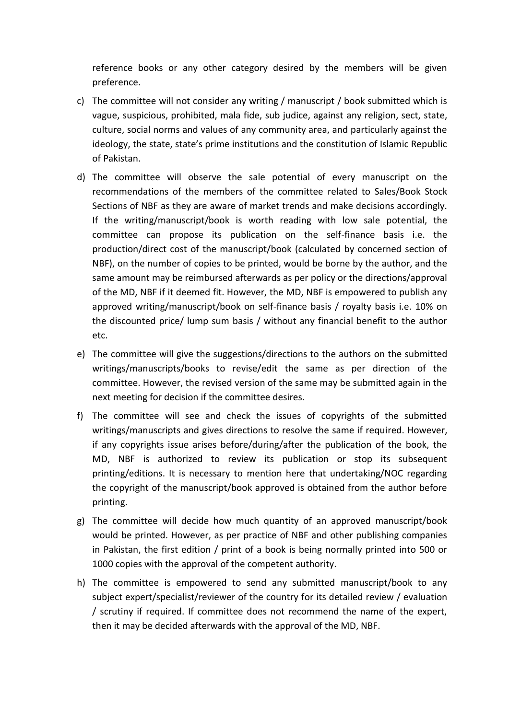reference books or any other category desired by the members will be given preference.

- c) The committee will not consider any writing / manuscript / book submitted which is vague, suspicious, prohibited, mala fide, sub judice, against any religion, sect, state, culture, social norms and values of any community area, and particularly against the ideology, the state, state's prime institutions and the constitution of Islamic Republic of Pakistan.
- d) The committee will observe the sale potential of every manuscript on the recommendations of the members of the committee related to Sales/Book Stock Sections of NBF as they are aware of market trends and make decisions accordingly. If the writing/manuscript/book is worth reading with low sale potential, the committee can propose its publication on the self-finance basis i.e. the production/direct cost of the manuscript/book (calculated by concerned section of NBF), on the number of copies to be printed, would be borne by the author, and the same amount may be reimbursed afterwards as per policy or the directions/approval of the MD, NBF if it deemed fit. However, the MD, NBF is empowered to publish any approved writing/manuscript/book on self-finance basis / royalty basis i.e. 10% on the discounted price/ lump sum basis / without any financial benefit to the author etc.
- e) The committee will give the suggestions/directions to the authors on the submitted writings/manuscripts/books to revise/edit the same as per direction of the committee. However, the revised version of the same may be submitted again in the next meeting for decision if the committee desires.
- f) The committee will see and check the issues of copyrights of the submitted writings/manuscripts and gives directions to resolve the same if required. However, if any copyrights issue arises before/during/after the publication of the book, the MD, NBF is authorized to review its publication or stop its subsequent printing/editions. It is necessary to mention here that undertaking/NOC regarding the copyright of the manuscript/book approved is obtained from the author before printing.
- g) The committee will decide how much quantity of an approved manuscript/book would be printed. However, as per practice of NBF and other publishing companies in Pakistan, the first edition / print of a book is being normally printed into 500 or 1000 copies with the approval of the competent authority.
- h) The committee is empowered to send any submitted manuscript/book to any subject expert/specialist/reviewer of the country for its detailed review / evaluation / scrutiny if required. If committee does not recommend the name of the expert, then it may be decided afterwards with the approval of the MD, NBF.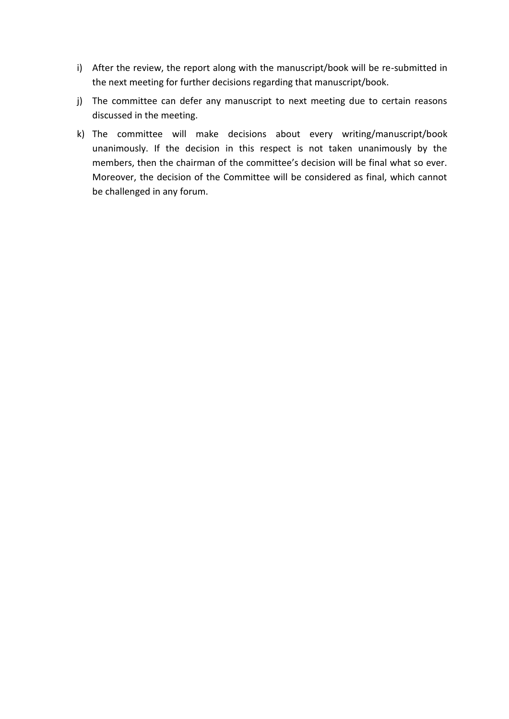- i) After the review, the report along with the manuscript/book will be re-submitted in the next meeting for further decisions regarding that manuscript/book.
- j) The committee can defer any manuscript to next meeting due to certain reasons discussed in the meeting.
- k) The committee will make decisions about every writing/manuscript/book unanimously. If the decision in this respect is not taken unanimously by the members, then the chairman of the committee's decision will be final what so ever. Moreover, the decision of the Committee will be considered as final, which cannot be challenged in any forum.